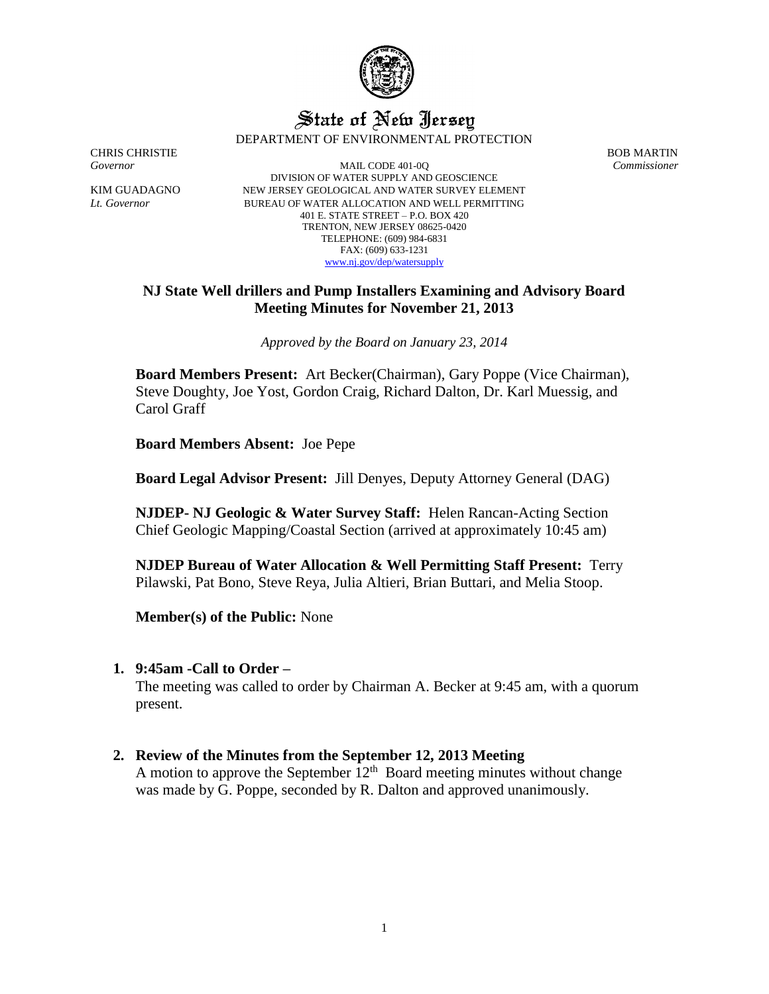

# State of New Jersey DEPARTMENT OF ENVIRONMENTAL PROTECTION

CHRIS CHRISTIE BOB MARTIN

*Governor* MAIL CODE 401-0Q *Commissioner* DIVISION OF WATER SUPPLY AND GEOSCIENCE KIM GUADAGNO NEW JERSEY GEOLOGICAL AND WATER SURVEY ELEMENT *Lt. Governor* BUREAU OF WATER ALLOCATION AND WELL PERMITTING 401 E. STATE STREET – P.O. BOX 420 TRENTON, NEW JERSEY 08625-0420 TELEPHONE: (609) 984-6831 FAX: (609) 633-1231 [www.nj.gov/dep/watersupply](http://www.nj.gov/dep/watersupply)

## **NJ State Well drillers and Pump Installers Examining and Advisory Board Meeting Minutes for November 21, 2013**

*Approved by the Board on January 23, 2014*

**Board Members Present:** Art Becker(Chairman), Gary Poppe (Vice Chairman), Steve Doughty, Joe Yost, Gordon Craig, Richard Dalton, Dr. Karl Muessig, and Carol Graff

**Board Members Absent:** Joe Pepe

**Board Legal Advisor Present:** Jill Denyes, Deputy Attorney General (DAG)

**NJDEP- NJ Geologic & Water Survey Staff:** Helen Rancan-Acting Section Chief Geologic Mapping/Coastal Section (arrived at approximately 10:45 am)

**NJDEP Bureau of Water Allocation & Well Permitting Staff Present:** Terry Pilawski, Pat Bono, Steve Reya, Julia Altieri, Brian Buttari, and Melia Stoop.

**Member(s) of the Public:** None

## **1. 9:45am -Call to Order –**

The meeting was called to order by Chairman A. Becker at 9:45 am, with a quorum present.

**2. Review of the Minutes from the September 12, 2013 Meeting** A motion to approve the September  $12<sup>th</sup>$  Board meeting minutes without change

was made by G. Poppe, seconded by R. Dalton and approved unanimously.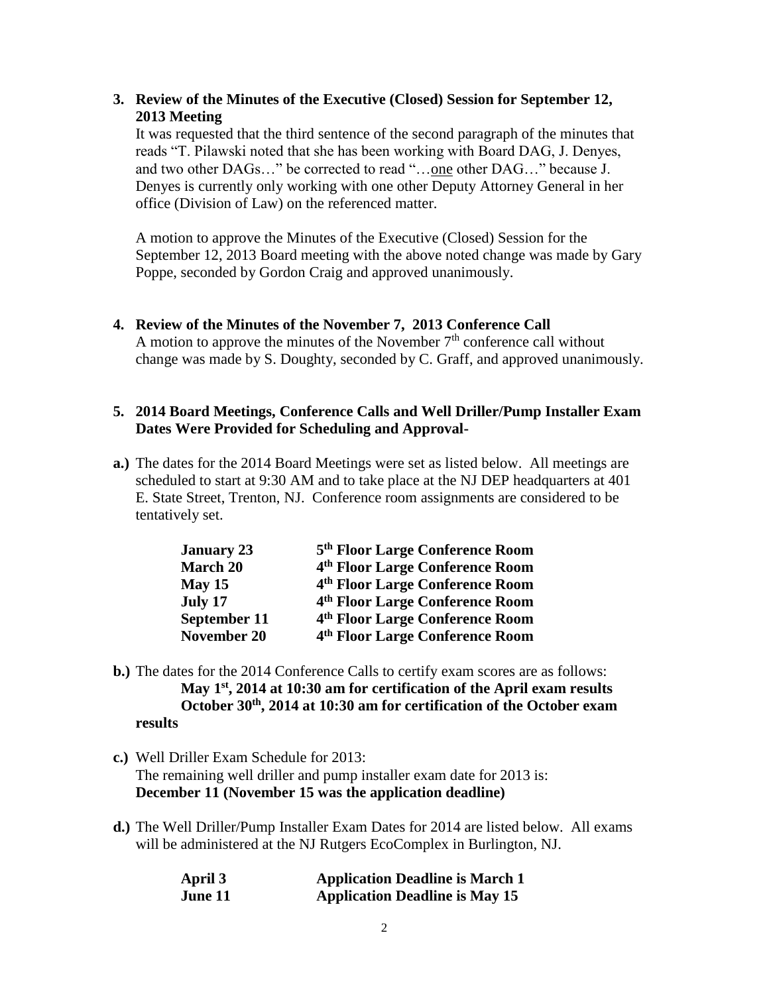## **3. Review of the Minutes of the Executive (Closed) Session for September 12, 2013 Meeting**

It was requested that the third sentence of the second paragraph of the minutes that reads "T. Pilawski noted that she has been working with Board DAG, J. Denyes, and two other DAGs…" be corrected to read "…one other DAG…" because J. Denyes is currently only working with one other Deputy Attorney General in her office (Division of Law) on the referenced matter.

A motion to approve the Minutes of the Executive (Closed) Session for the September 12, 2013 Board meeting with the above noted change was made by Gary Poppe, seconded by Gordon Craig and approved unanimously.

## **4. Review of the Minutes of the November 7, 2013 Conference Call**

A motion to approve the minutes of the November  $7<sup>th</sup>$  conference call without change was made by S. Doughty, seconded by C. Graff, and approved unanimously.

## **5. 2014 Board Meetings, Conference Calls and Well Driller/Pump Installer Exam Dates Were Provided for Scheduling and Approval-**

**a.)** The dates for the 2014 Board Meetings were set as listed below. All meetings are scheduled to start at 9:30 AM and to take place at the NJ DEP headquarters at 401 E. State Street, Trenton, NJ. Conference room assignments are considered to be tentatively set.

| <b>January 23</b>  | 5 <sup>th</sup> Floor Large Conference Room |
|--------------------|---------------------------------------------|
| March 20           | 4 <sup>th</sup> Floor Large Conference Room |
| $M$ ay 15          | 4th Floor Large Conference Room             |
| July 17            | 4th Floor Large Conference Room             |
| September 11       | 4 <sup>th</sup> Floor Large Conference Room |
| <b>November 20</b> | 4 <sup>th</sup> Floor Large Conference Room |

- **b.)** The dates for the 2014 Conference Calls to certify exam scores are as follows: **May 1st, 2014 at 10:30 am for certification of the April exam results October 30th, 2014 at 10:30 am for certification of the October exam results**
- **c.)** Well Driller Exam Schedule for 2013: The remaining well driller and pump installer exam date for 2013 is: **December 11 (November 15 was the application deadline)**
- **d.)** The Well Driller/Pump Installer Exam Dates for 2014 are listed below. All exams will be administered at the NJ Rutgers EcoComplex in Burlington, NJ.

| April 3 | <b>Application Deadline is March 1</b> |
|---------|----------------------------------------|
| June 11 | <b>Application Deadline is May 15</b>  |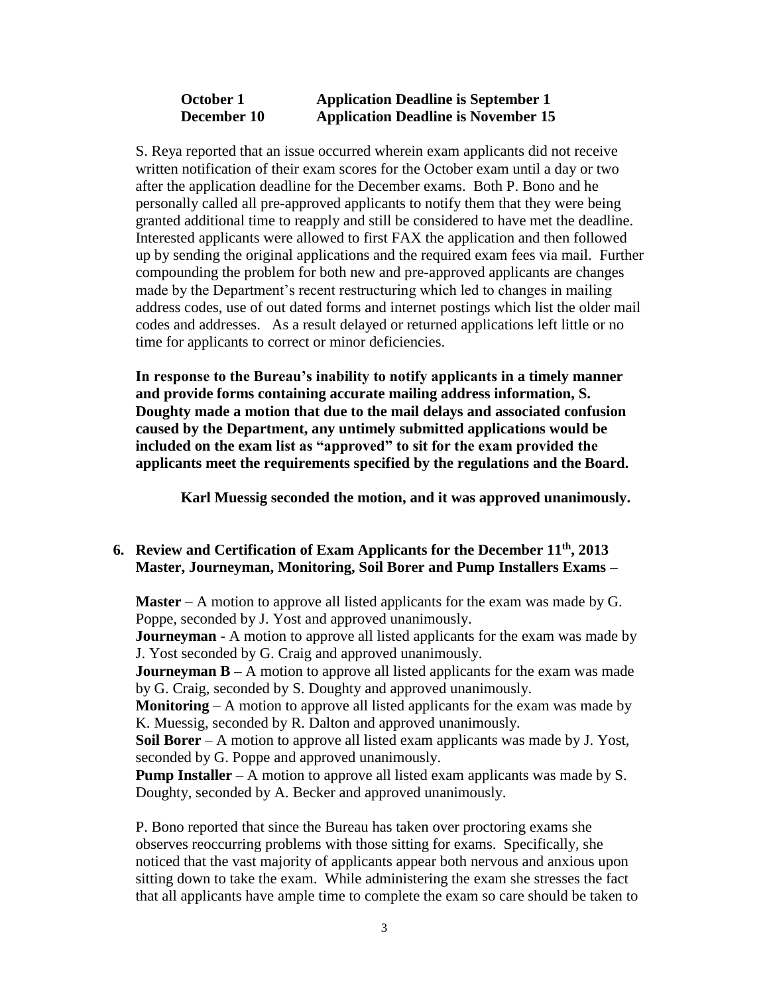## **October 1 Application Deadline is September 1 December 10 Application Deadline is November 15**

S. Reya reported that an issue occurred wherein exam applicants did not receive written notification of their exam scores for the October exam until a day or two after the application deadline for the December exams. Both P. Bono and he personally called all pre-approved applicants to notify them that they were being granted additional time to reapply and still be considered to have met the deadline. Interested applicants were allowed to first FAX the application and then followed up by sending the original applications and the required exam fees via mail. Further compounding the problem for both new and pre-approved applicants are changes made by the Department's recent restructuring which led to changes in mailing address codes, use of out dated forms and internet postings which list the older mail codes and addresses. As a result delayed or returned applications left little or no time for applicants to correct or minor deficiencies.

**In response to the Bureau's inability to notify applicants in a timely manner and provide forms containing accurate mailing address information, S. Doughty made a motion that due to the mail delays and associated confusion caused by the Department, any untimely submitted applications would be included on the exam list as "approved" to sit for the exam provided the applicants meet the requirements specified by the regulations and the Board.**

**Karl Muessig seconded the motion, and it was approved unanimously.** 

# **6. Review and Certification of Exam Applicants for the December 11th, 2013 Master, Journeyman, Monitoring, Soil Borer and Pump Installers Exams –**

**Master** – A motion to approve all listed applicants for the exam was made by G. Poppe, seconded by J. Yost and approved unanimously.

**Journeyman** - A motion to approve all listed applicants for the exam was made by J. Yost seconded by G. Craig and approved unanimously.

**Journeyman B** – A motion to approve all listed applicants for the exam was made by G. Craig, seconded by S. Doughty and approved unanimously.

**Monitoring** – A motion to approve all listed applicants for the exam was made by K. Muessig, seconded by R. Dalton and approved unanimously.

**Soil Borer** – A motion to approve all listed exam applicants was made by J. Yost, seconded by G. Poppe and approved unanimously.

**Pump Installer** – A motion to approve all listed exam applicants was made by S. Doughty, seconded by A. Becker and approved unanimously.

P. Bono reported that since the Bureau has taken over proctoring exams she observes reoccurring problems with those sitting for exams. Specifically, she noticed that the vast majority of applicants appear both nervous and anxious upon sitting down to take the exam. While administering the exam she stresses the fact that all applicants have ample time to complete the exam so care should be taken to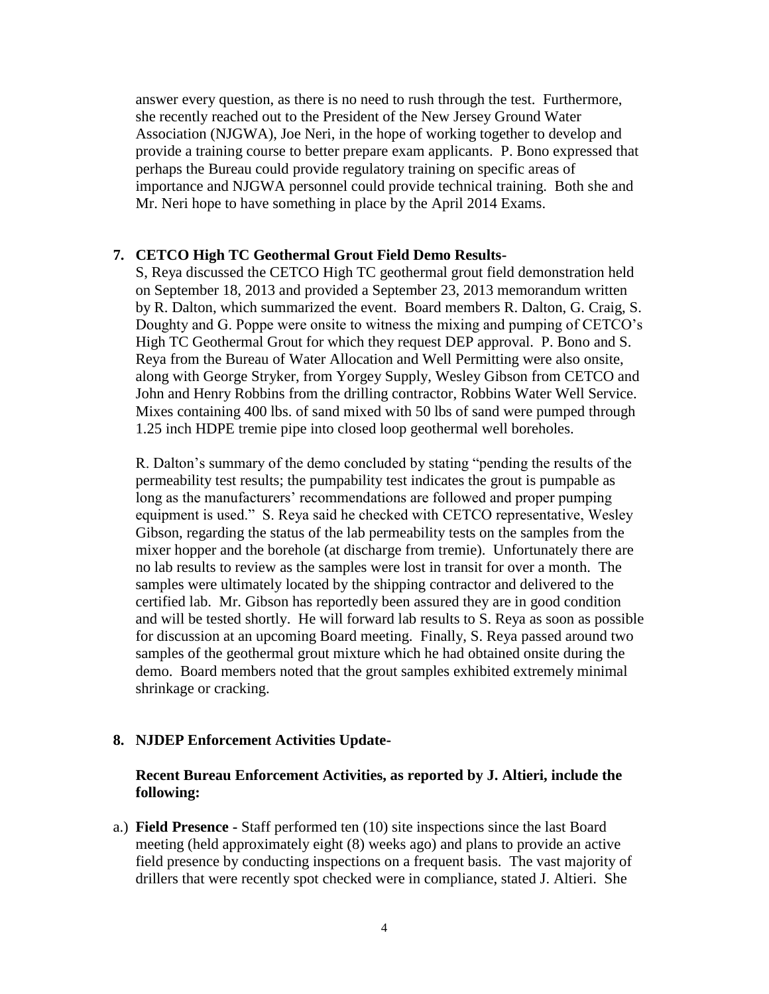answer every question, as there is no need to rush through the test. Furthermore, she recently reached out to the President of the New Jersey Ground Water Association (NJGWA), Joe Neri, in the hope of working together to develop and provide a training course to better prepare exam applicants. P. Bono expressed that perhaps the Bureau could provide regulatory training on specific areas of importance and NJGWA personnel could provide technical training. Both she and Mr. Neri hope to have something in place by the April 2014 Exams.

### **7. CETCO High TC Geothermal Grout Field Demo Results-**

S, Reya discussed the CETCO High TC geothermal grout field demonstration held on September 18, 2013 and provided a September 23, 2013 memorandum written by R. Dalton, which summarized the event. Board members R. Dalton, G. Craig, S. Doughty and G. Poppe were onsite to witness the mixing and pumping of CETCO's High TC Geothermal Grout for which they request DEP approval. P. Bono and S. Reya from the Bureau of Water Allocation and Well Permitting were also onsite, along with George Stryker, from Yorgey Supply, Wesley Gibson from CETCO and John and Henry Robbins from the drilling contractor, Robbins Water Well Service. Mixes containing 400 lbs. of sand mixed with 50 lbs of sand were pumped through 1.25 inch HDPE tremie pipe into closed loop geothermal well boreholes.

R. Dalton's summary of the demo concluded by stating "pending the results of the permeability test results; the pumpability test indicates the grout is pumpable as long as the manufacturers' recommendations are followed and proper pumping equipment is used." S. Reya said he checked with CETCO representative, Wesley Gibson, regarding the status of the lab permeability tests on the samples from the mixer hopper and the borehole (at discharge from tremie). Unfortunately there are no lab results to review as the samples were lost in transit for over a month. The samples were ultimately located by the shipping contractor and delivered to the certified lab. Mr. Gibson has reportedly been assured they are in good condition and will be tested shortly. He will forward lab results to S. Reya as soon as possible for discussion at an upcoming Board meeting. Finally, S. Reya passed around two samples of the geothermal grout mixture which he had obtained onsite during the demo. Board members noted that the grout samples exhibited extremely minimal shrinkage or cracking.

#### **8. NJDEP Enforcement Activities Update-**

### **Recent Bureau Enforcement Activities, as reported by J. Altieri, include the following:**

a.) **Field Presence -** Staff performed ten (10) site inspections since the last Board meeting (held approximately eight (8) weeks ago) and plans to provide an active field presence by conducting inspections on a frequent basis. The vast majority of drillers that were recently spot checked were in compliance, stated J. Altieri. She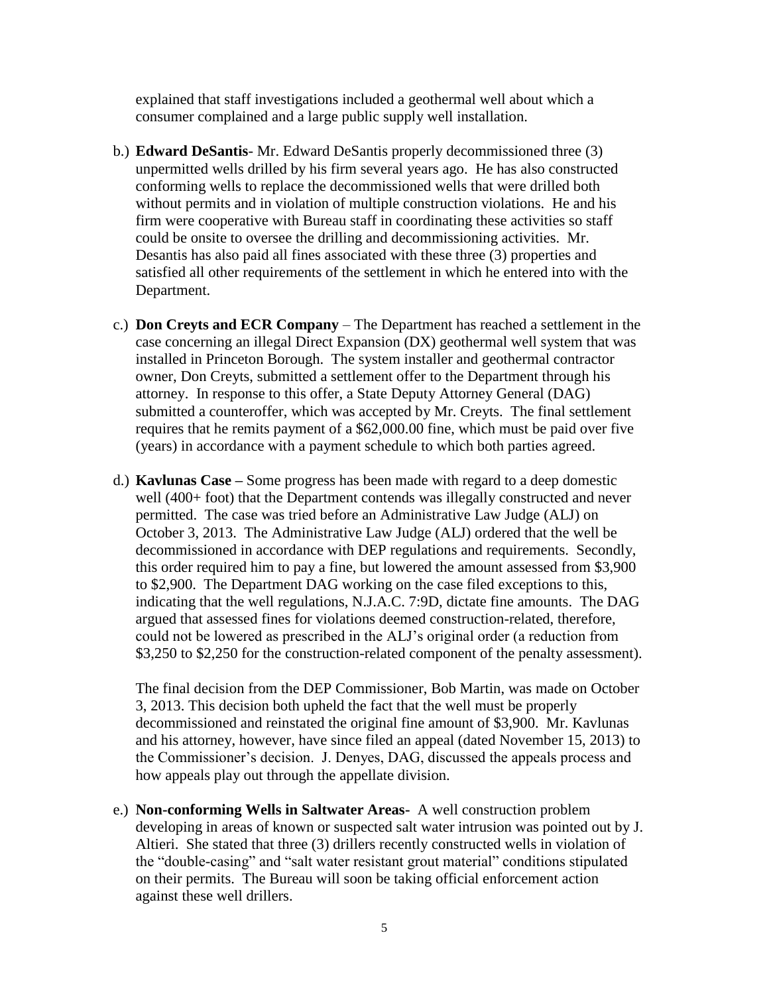explained that staff investigations included a geothermal well about which a consumer complained and a large public supply well installation.

- b.) **Edward DeSantis** Mr. Edward DeSantis properly decommissioned three (3) unpermitted wells drilled by his firm several years ago. He has also constructed conforming wells to replace the decommissioned wells that were drilled both without permits and in violation of multiple construction violations. He and his firm were cooperative with Bureau staff in coordinating these activities so staff could be onsite to oversee the drilling and decommissioning activities. Mr. Desantis has also paid all fines associated with these three (3) properties and satisfied all other requirements of the settlement in which he entered into with the Department.
- c.) **Don Creyts and ECR Company** The Department has reached a settlement in the case concerning an illegal Direct Expansion (DX) geothermal well system that was installed in Princeton Borough. The system installer and geothermal contractor owner, Don Creyts, submitted a settlement offer to the Department through his attorney. In response to this offer, a State Deputy Attorney General (DAG) submitted a counteroffer, which was accepted by Mr. Creyts. The final settlement requires that he remits payment of a \$62,000.00 fine, which must be paid over five (years) in accordance with a payment schedule to which both parties agreed.
- d.) **Kavlunas Case –** Some progress has been made with regard to a deep domestic well (400+ foot) that the Department contends was illegally constructed and never permitted. The case was tried before an Administrative Law Judge (ALJ) on October 3, 2013. The Administrative Law Judge (ALJ) ordered that the well be decommissioned in accordance with DEP regulations and requirements. Secondly, this order required him to pay a fine, but lowered the amount assessed from \$3,900 to \$2,900. The Department DAG working on the case filed exceptions to this, indicating that the well regulations, N.J.A.C. 7:9D, dictate fine amounts. The DAG argued that assessed fines for violations deemed construction-related, therefore, could not be lowered as prescribed in the ALJ's original order (a reduction from \$3,250 to \$2,250 for the construction-related component of the penalty assessment).

The final decision from the DEP Commissioner, Bob Martin, was made on October 3, 2013. This decision both upheld the fact that the well must be properly decommissioned and reinstated the original fine amount of \$3,900. Mr. Kavlunas and his attorney, however, have since filed an appeal (dated November 15, 2013) to the Commissioner's decision. J. Denyes, DAG, discussed the appeals process and how appeals play out through the appellate division.

e.) **Non-conforming Wells in Saltwater Areas-** A well construction problem developing in areas of known or suspected salt water intrusion was pointed out by J. Altieri. She stated that three (3) drillers recently constructed wells in violation of the "double-casing" and "salt water resistant grout material" conditions stipulated on their permits. The Bureau will soon be taking official enforcement action against these well drillers.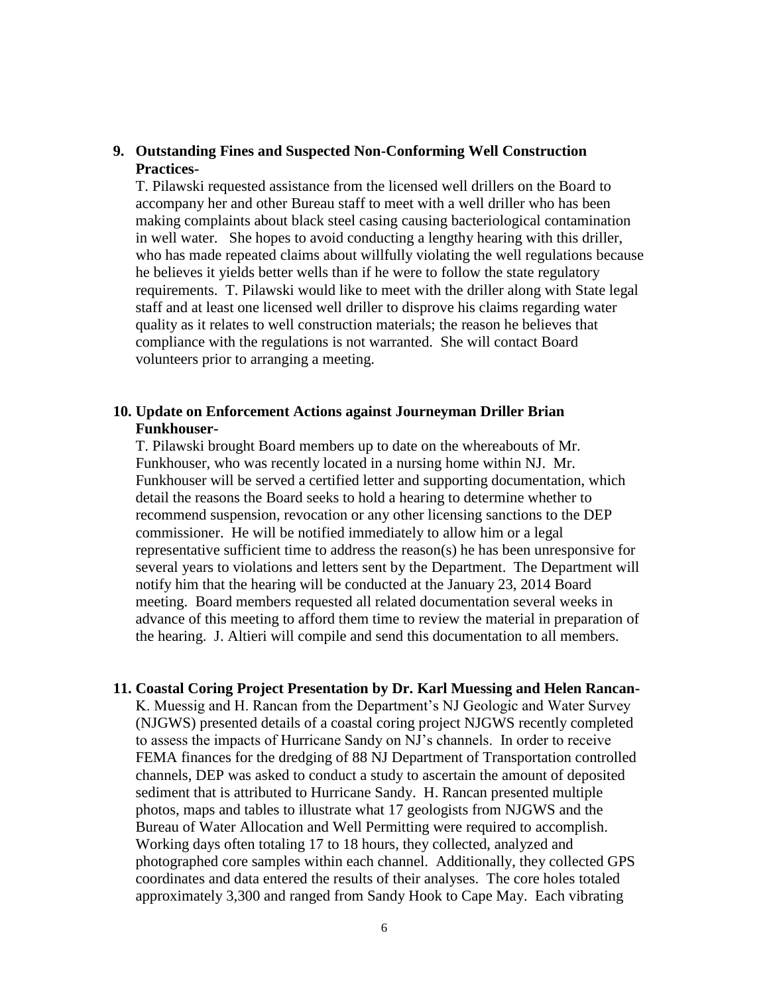## **9. Outstanding Fines and Suspected Non-Conforming Well Construction Practices-**

T. Pilawski requested assistance from the licensed well drillers on the Board to accompany her and other Bureau staff to meet with a well driller who has been making complaints about black steel casing causing bacteriological contamination in well water. She hopes to avoid conducting a lengthy hearing with this driller, who has made repeated claims about willfully violating the well regulations because he believes it yields better wells than if he were to follow the state regulatory requirements. T. Pilawski would like to meet with the driller along with State legal staff and at least one licensed well driller to disprove his claims regarding water quality as it relates to well construction materials; the reason he believes that compliance with the regulations is not warranted. She will contact Board volunteers prior to arranging a meeting.

## **10. Update on Enforcement Actions against Journeyman Driller Brian Funkhouser-**

T. Pilawski brought Board members up to date on the whereabouts of Mr. Funkhouser, who was recently located in a nursing home within NJ. Mr. Funkhouser will be served a certified letter and supporting documentation, which detail the reasons the Board seeks to hold a hearing to determine whether to recommend suspension, revocation or any other licensing sanctions to the DEP commissioner. He will be notified immediately to allow him or a legal representative sufficient time to address the reason(s) he has been unresponsive for several years to violations and letters sent by the Department. The Department will notify him that the hearing will be conducted at the January 23, 2014 Board meeting. Board members requested all related documentation several weeks in advance of this meeting to afford them time to review the material in preparation of the hearing. J. Altieri will compile and send this documentation to all members.

### **11. Coastal Coring Project Presentation by Dr. Karl Muessing and Helen Rancan-**

K. Muessig and H. Rancan from the Department's NJ Geologic and Water Survey (NJGWS) presented details of a coastal coring project NJGWS recently completed to assess the impacts of Hurricane Sandy on NJ's channels. In order to receive FEMA finances for the dredging of 88 NJ Department of Transportation controlled channels, DEP was asked to conduct a study to ascertain the amount of deposited sediment that is attributed to Hurricane Sandy. H. Rancan presented multiple photos, maps and tables to illustrate what 17 geologists from NJGWS and the Bureau of Water Allocation and Well Permitting were required to accomplish. Working days often totaling 17 to 18 hours, they collected, analyzed and photographed core samples within each channel. Additionally, they collected GPS coordinates and data entered the results of their analyses. The core holes totaled approximately 3,300 and ranged from Sandy Hook to Cape May. Each vibrating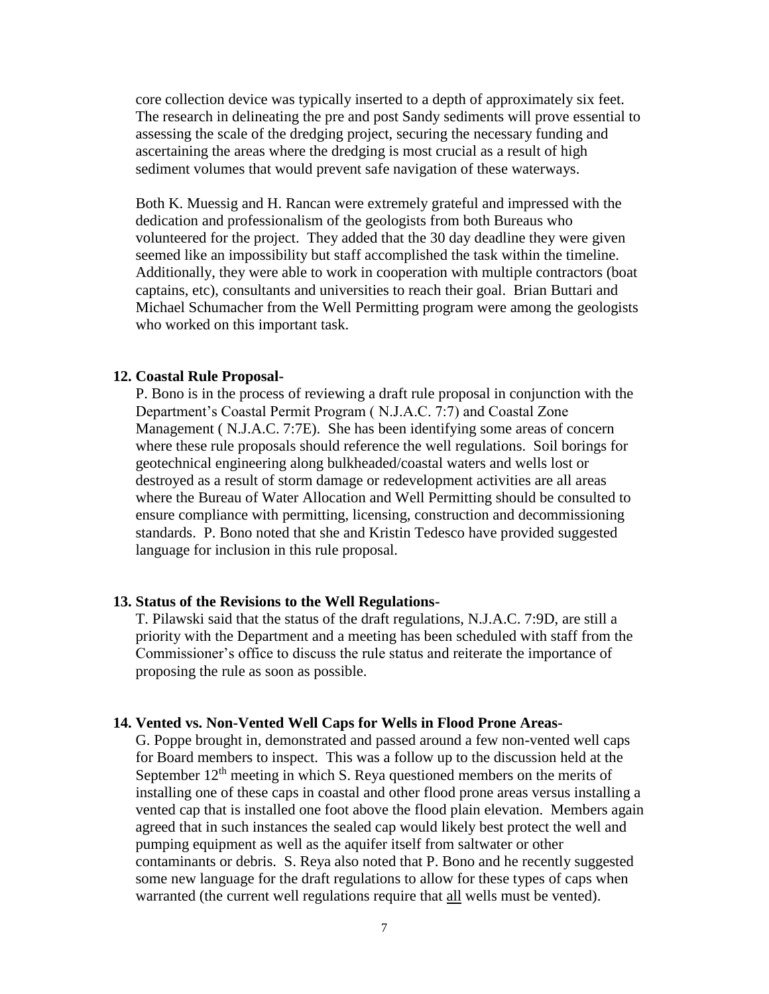core collection device was typically inserted to a depth of approximately six feet. The research in delineating the pre and post Sandy sediments will prove essential to assessing the scale of the dredging project, securing the necessary funding and ascertaining the areas where the dredging is most crucial as a result of high sediment volumes that would prevent safe navigation of these waterways.

Both K. Muessig and H. Rancan were extremely grateful and impressed with the dedication and professionalism of the geologists from both Bureaus who volunteered for the project. They added that the 30 day deadline they were given seemed like an impossibility but staff accomplished the task within the timeline. Additionally, they were able to work in cooperation with multiple contractors (boat captains, etc), consultants and universities to reach their goal. Brian Buttari and Michael Schumacher from the Well Permitting program were among the geologists who worked on this important task.

#### **12. Coastal Rule Proposal-**

P. Bono is in the process of reviewing a draft rule proposal in conjunction with the Department's Coastal Permit Program ( N.J.A.C. 7:7) and Coastal Zone Management ( N.J.A.C. 7:7E). She has been identifying some areas of concern where these rule proposals should reference the well regulations. Soil borings for geotechnical engineering along bulkheaded/coastal waters and wells lost or destroyed as a result of storm damage or redevelopment activities are all areas where the Bureau of Water Allocation and Well Permitting should be consulted to ensure compliance with permitting, licensing, construction and decommissioning standards. P. Bono noted that she and Kristin Tedesco have provided suggested language for inclusion in this rule proposal.

#### **13. Status of the Revisions to the Well Regulations-**

T. Pilawski said that the status of the draft regulations, N.J.A.C. 7:9D, are still a priority with the Department and a meeting has been scheduled with staff from the Commissioner's office to discuss the rule status and reiterate the importance of proposing the rule as soon as possible.

#### **14. Vented vs. Non-Vented Well Caps for Wells in Flood Prone Areas-**

G. Poppe brought in, demonstrated and passed around a few non-vented well caps for Board members to inspect. This was a follow up to the discussion held at the September  $12<sup>th</sup>$  meeting in which S. Reya questioned members on the merits of installing one of these caps in coastal and other flood prone areas versus installing a vented cap that is installed one foot above the flood plain elevation. Members again agreed that in such instances the sealed cap would likely best protect the well and pumping equipment as well as the aquifer itself from saltwater or other contaminants or debris. S. Reya also noted that P. Bono and he recently suggested some new language for the draft regulations to allow for these types of caps when warranted (the current well regulations require that all wells must be vented).